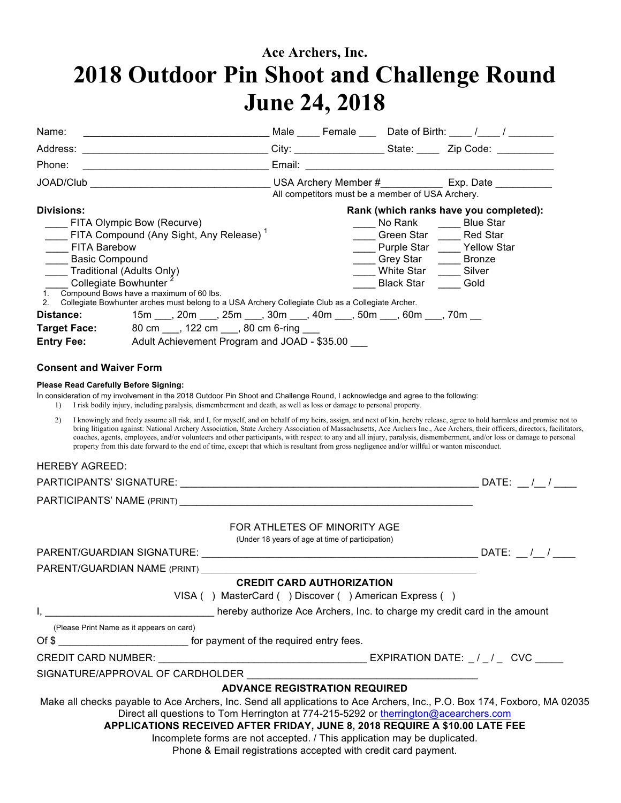## **Ace Archers, Inc. 2018 Outdoor Pin Shoot and Challenge Round June 24, 2018**

| Name:                                                                                                                                   |                                                                                                                                                                                                                                                                                                                                                                                                                                                                                                    |                                                                                  |                                                               | Male _____ Female ____ Date of Birth: ____ /____ / _______                                                                                                                                    |
|-----------------------------------------------------------------------------------------------------------------------------------------|----------------------------------------------------------------------------------------------------------------------------------------------------------------------------------------------------------------------------------------------------------------------------------------------------------------------------------------------------------------------------------------------------------------------------------------------------------------------------------------------------|----------------------------------------------------------------------------------|---------------------------------------------------------------|-----------------------------------------------------------------------------------------------------------------------------------------------------------------------------------------------|
|                                                                                                                                         |                                                                                                                                                                                                                                                                                                                                                                                                                                                                                                    |                                                                                  |                                                               |                                                                                                                                                                                               |
| Phone:                                                                                                                                  | <u> 1989 - Johann Barbara, martxa alemaniar a</u>                                                                                                                                                                                                                                                                                                                                                                                                                                                  |                                                                                  |                                                               |                                                                                                                                                                                               |
|                                                                                                                                         |                                                                                                                                                                                                                                                                                                                                                                                                                                                                                                    |                                                                                  | All competitors must be a member of USA Archery.              |                                                                                                                                                                                               |
| <b>Divisions:</b><br><b>FITA Barebow</b><br><b>Basic Compound</b><br>____ Traditional (Adults Only)<br>Distance:<br><b>Target Face:</b> | FITA Olympic Bow (Recurve)<br>FITA Compound (Any Sight, Any Release) <sup>1</sup><br>Collegiate Bowhunter<br>1. Compound Bows have a maximum of 60 lbs.<br>2. Collegiate Bowhunter arches must belong to a USA Archery Collegiate Club as a Collegiate Archer.<br>15m ___, 20m ___, 25m ___, 30m ___, 40m ___, 50m ___, 60m ___, 70m __<br>80 cm ____, 122 cm ____, 80 cm 6-ring ____                                                                                                              |                                                                                  | No Rank _____<br>Grey Star<br>White Star<br><b>Black Star</b> | Rank (which ranks have you completed):<br><b>Blue Star</b><br>Green Star _____ Red Star<br>____ Purple Star ____ Yellow Star<br><b>Bronze</b><br>$\mathcal{L}^{\text{max}}$<br>Silver<br>Gold |
| <b>Entry Fee:</b>                                                                                                                       | Adult Achievement Program and JOAD - \$35.00                                                                                                                                                                                                                                                                                                                                                                                                                                                       |                                                                                  |                                                               |                                                                                                                                                                                               |
| <b>Consent and Waiver Form</b><br><b>Please Read Carefully Before Signing:</b>                                                          |                                                                                                                                                                                                                                                                                                                                                                                                                                                                                                    |                                                                                  |                                                               |                                                                                                                                                                                               |
| $\left  \right $                                                                                                                        | In consideration of my involvement in the 2018 Outdoor Pin Shoot and Challenge Round, I acknowledge and agree to the following:<br>I risk bodily injury, including paralysis, dismemberment and death, as well as loss or damage to personal property.                                                                                                                                                                                                                                             |                                                                                  |                                                               |                                                                                                                                                                                               |
| 2)<br><b>HEREBY AGREED:</b>                                                                                                             | I knowingly and freely assume all risk, and I, for myself, and on behalf of my heirs, assign, and next of kin, hereby release, agree to hold harmless and promise not to<br>coaches, agents, employees, and/or volunteers and other participants, with respect to any and all injury, paralysis, dismemberment, and/or loss or damage to personal<br>property from this date forward to the end of time, except that which is resultant from gross negligence and/or willful or wanton misconduct. |                                                                                  |                                                               | bring litigation against: National Archery Association, State Archery Association of Massachusetts, Ace Archers Inc., Ace Archers, their officers, directors, facilitators,                   |
|                                                                                                                                         |                                                                                                                                                                                                                                                                                                                                                                                                                                                                                                    |                                                                                  |                                                               |                                                                                                                                                                                               |
|                                                                                                                                         |                                                                                                                                                                                                                                                                                                                                                                                                                                                                                                    |                                                                                  |                                                               |                                                                                                                                                                                               |
|                                                                                                                                         |                                                                                                                                                                                                                                                                                                                                                                                                                                                                                                    |                                                                                  |                                                               |                                                                                                                                                                                               |
|                                                                                                                                         |                                                                                                                                                                                                                                                                                                                                                                                                                                                                                                    | FOR ATHLETES OF MINORITY AGE<br>(Under 18 years of age at time of participation) |                                                               |                                                                                                                                                                                               |
|                                                                                                                                         | PARENT/GUARDIAN SIGNATURE:                                                                                                                                                                                                                                                                                                                                                                                                                                                                         |                                                                                  |                                                               | DATE: $/$ /                                                                                                                                                                                   |
|                                                                                                                                         | PARENT/GUARDIAN NAME (PRINT)                                                                                                                                                                                                                                                                                                                                                                                                                                                                       | <b>CREDIT CARD AUTHORIZATION</b>                                                 |                                                               |                                                                                                                                                                                               |
|                                                                                                                                         | VISA () MasterCard () Discover () American Express ()                                                                                                                                                                                                                                                                                                                                                                                                                                              |                                                                                  |                                                               |                                                                                                                                                                                               |
|                                                                                                                                         | hereby authorize Ace Archers, Inc. to charge my credit card in the amount                                                                                                                                                                                                                                                                                                                                                                                                                          |                                                                                  |                                                               |                                                                                                                                                                                               |
|                                                                                                                                         | (Please Print Name as it appears on card)                                                                                                                                                                                                                                                                                                                                                                                                                                                          |                                                                                  |                                                               |                                                                                                                                                                                               |
|                                                                                                                                         | Of \$                                                                                                                                                                                                                                                                                                                                                                                                                                                                                              |                                                                                  |                                                               |                                                                                                                                                                                               |
|                                                                                                                                         |                                                                                                                                                                                                                                                                                                                                                                                                                                                                                                    |                                                                                  |                                                               |                                                                                                                                                                                               |
|                                                                                                                                         |                                                                                                                                                                                                                                                                                                                                                                                                                                                                                                    |                                                                                  |                                                               |                                                                                                                                                                                               |
|                                                                                                                                         |                                                                                                                                                                                                                                                                                                                                                                                                                                                                                                    | <b>ADVANCE REGISTRATION REQUIRED</b>                                             |                                                               |                                                                                                                                                                                               |
|                                                                                                                                         | Direct all questions to Tom Herrington at 774-215-5292 or therrington@acearchers.com<br>APPLICATIONS RECEIVED AFTER FRIDAY, JUNE 8, 2018 REQUIRE A \$10.00 LATE FEE<br>Incomplete forms are not accepted. / This application may be duplicated.<br>Phone & Email registrations accepted with credit card payment.                                                                                                                                                                                  |                                                                                  |                                                               | Make all checks payable to Ace Archers, Inc. Send all applications to Ace Archers, Inc., P.O. Box 174, Foxboro, MA 02035                                                                      |